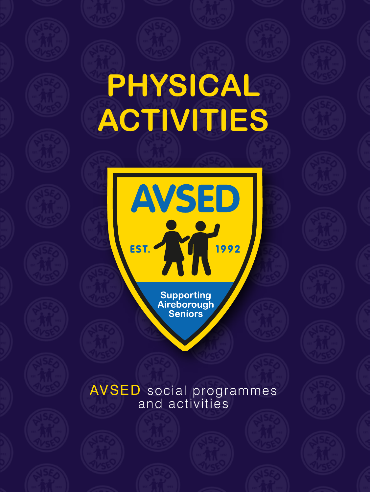## **PHYSICAL ACTIVITIES**

**AVSED** 

EST. 2 1992

Supporting<br>Aireborough<br>Seniors

## AVSED social programmes and activities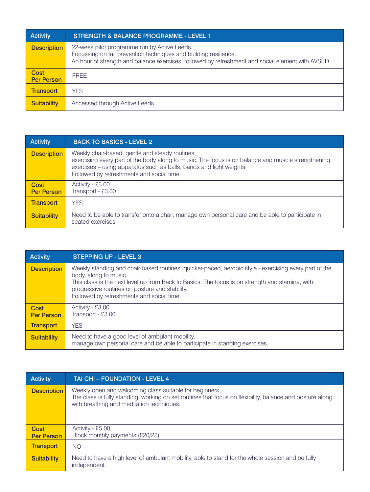| <b>Activity</b>           | <b>STRENGTH &amp; BALANCE PROGRAMME - LEVEL 1</b>                                                                                                                                                                     |
|---------------------------|-----------------------------------------------------------------------------------------------------------------------------------------------------------------------------------------------------------------------|
| <b>Description</b>        | 22-week pilot programme run by Active Leeds.<br>Focussing on fall prevention techniques and building resilience.<br>An hour of strength and balance exercises, followed by refreshment and social element with AVSED. |
| Cost<br><b>Per Person</b> | <b>FREE</b>                                                                                                                                                                                                           |
| <b>Transport</b>          | <b>YES</b>                                                                                                                                                                                                            |
| <b>Suitability</b>        | Accessed through Active Leeds                                                                                                                                                                                         |

| <b>Activity</b>           | <b>BACK TO BASICS - LEVEL 2</b>                                                                                                                                                                                                                                           |
|---------------------------|---------------------------------------------------------------------------------------------------------------------------------------------------------------------------------------------------------------------------------------------------------------------------|
| <b>Description</b>        | Weekly chair-based, gentle and steady routines,<br>exercising every part of the body along to music. The focus is on balance and muscle strengthening<br>exercises – using apparatus such as balls, bands and light weights.<br>Followed by refreshments and social time. |
| Cost<br><b>Per Person</b> | Activity - £3.00<br>Transport - £3.00                                                                                                                                                                                                                                     |
| <b>Transport</b>          | <b>YES</b>                                                                                                                                                                                                                                                                |
| <b>Suitability</b>        | Need to be able to transfer onto a chair, manage own personal care and be able to participate in<br>seated exercises.                                                                                                                                                     |

| <b>Activity</b>           | <b>STEPPING UP - LEVEL 3</b>                                                                                                                                                                                                                                                                                                     |
|---------------------------|----------------------------------------------------------------------------------------------------------------------------------------------------------------------------------------------------------------------------------------------------------------------------------------------------------------------------------|
| <b>Description</b>        | Weekly standing and chair-based routines, quicker-paced, aerobic style - exercising every part of the<br>body, along to music.<br>This class is the next level up from Back to Basics. The focus is on strength and stamina, with<br>progressive routines on posture and stability.<br>Followed by refreshments and social time. |
| Cost<br><b>Per Person</b> | Activity - £3.00<br>Transport - £3.00                                                                                                                                                                                                                                                                                            |
| <b>Transport</b>          | <b>YES</b>                                                                                                                                                                                                                                                                                                                       |
| <b>Suitability</b>        | Need to have a good level of ambulant mobility.<br>manage own personal care and be able to participate in standing exercises.                                                                                                                                                                                                    |

| Activity                  | TAI CHI - FOUNDATION - LEVEL 4                                                                                                                                                                                    |
|---------------------------|-------------------------------------------------------------------------------------------------------------------------------------------------------------------------------------------------------------------|
| <b>Description</b>        | Weekly open and welcoming class suitable for beginners.<br>The class is fully standing, working on set routines that focus on flexibility, balance and posture along<br>with breathing and meditation techniques. |
| Cost<br><b>Per Person</b> | Activity - £5.00<br>Block monthly payments (£20/25)                                                                                                                                                               |
| <b>Transport</b>          | NO.                                                                                                                                                                                                               |
| <b>Suitability</b>        | Need to have a high level of ambulant mobility, able to stand for the whole session and be fully<br>independent.                                                                                                  |